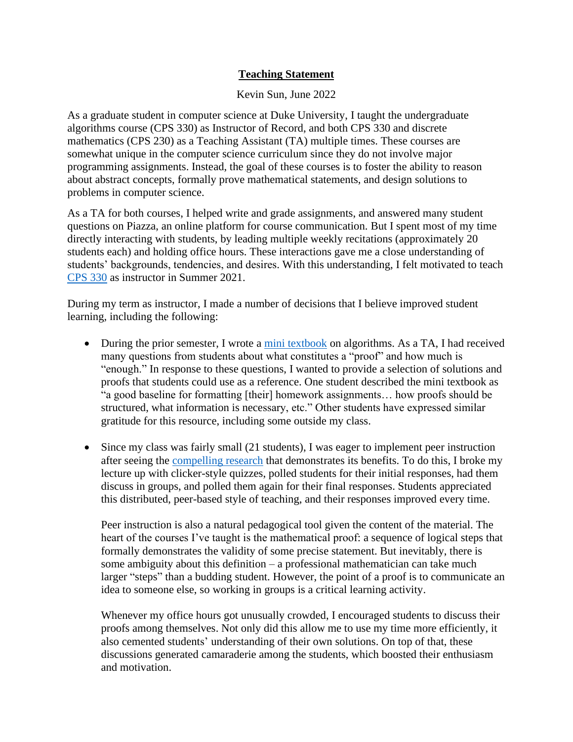## **Teaching Statement**

Kevin Sun, June 2022

As a graduate student in computer science at Duke University, I taught the undergraduate algorithms course (CPS 330) as Instructor of Record, and both CPS 330 and discrete mathematics (CPS 230) as a Teaching Assistant (TA) multiple times. These courses are somewhat unique in the computer science curriculum since they do not involve major programming assignments. Instead, the goal of these courses is to foster the ability to reason about abstract concepts, formally prove mathematical statements, and design solutions to problems in computer science.

As a TA for both courses, I helped write and grade assignments, and answered many student questions on Piazza, an online platform for course communication. But I spent most of my time directly interacting with students, by leading multiple weekly recitations (approximately 20 students each) and holding office hours. These interactions gave me a close understanding of students' backgrounds, tendencies, and desires. With this understanding, I felt motivated to teach [CPS 330](https://sites.google.com/view/dukecompsci330summer2021) as instructor in Summer 2021.

During my term as instructor, I made a number of decisions that I believe improved student learning, including the following:

- During the prior semester, I wrote a [mini textbook](https://kevinsun.org/algorithms) on algorithms. As a TA, I had received many questions from students about what constitutes a "proof" and how much is "enough." In response to these questions, I wanted to provide a selection of solutions and proofs that students could use as a reference. One student described the mini textbook as "a good baseline for formatting [their] homework assignments… how proofs should be structured, what information is necessary, etc." Other students have expressed similar gratitude for this resource, including some outside my class.
- Since my class was fairly small (21 students), I was eager to implement peer instruction after seeing the [compelling research](http://peerinstruction4cs.com/) that demonstrates its benefits. To do this, I broke my lecture up with clicker-style quizzes, polled students for their initial responses, had them discuss in groups, and polled them again for their final responses. Students appreciated this distributed, peer-based style of teaching, and their responses improved every time.

Peer instruction is also a natural pedagogical tool given the content of the material. The heart of the courses I've taught is the mathematical proof: a sequence of logical steps that formally demonstrates the validity of some precise statement. But inevitably, there is some ambiguity about this definition – a professional mathematician can take much larger "steps" than a budding student. However, the point of a proof is to communicate an idea to someone else, so working in groups is a critical learning activity.

Whenever my office hours got unusually crowded, I encouraged students to discuss their proofs among themselves. Not only did this allow me to use my time more efficiently, it also cemented students' understanding of their own solutions. On top of that, these discussions generated camaraderie among the students, which boosted their enthusiasm and motivation.